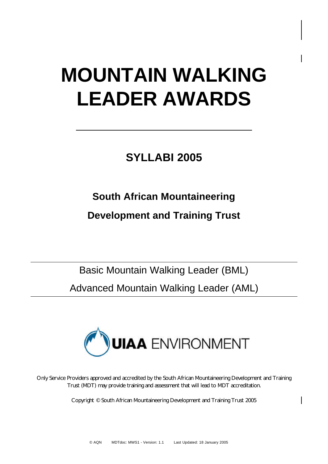# **MOUNTAIN WALKING LEADER AWARDS**

# **SYLLABI 2005**

# **South African Mountaineering**

## **Development and Training Trust**

Basic Mountain Walking Leader (BML) Advanced Mountain Walking Leader (AML)



Only Service Providers approved and accredited by the South African Mountaineering Development and Training Trust (MDT) may provide training and assessment that will lead to MDT accreditation.

Copyright © South African Mountaineering Development and Training Trust 2005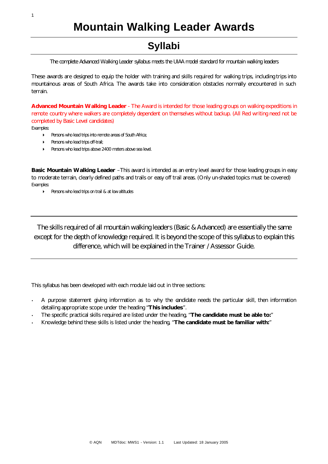**Mountain Walking Leader Awards**

### **Syllabi**

*The complete Advanced Walking Leader syllabus meets the UIAA model standard for mountain walking leaders*

These awards are designed to equip the holder with training and skills required for walking trips, including trips into mountainous areas of South Africa. The awards take into consideration obstacles normally encountered in such terrain.

**Advanced Mountain Walking Leader** - The Award is intended for those leading groups on walking expeditions in remote country where walkers are completely dependent on themselves without backup. (All Red writing need not be completed by Basic Level candidates)

*Examples:*

- 4 *Persons who lead trips into remote areas of South Africa;*
- 4 *Persons who lead trips off-trail;*
- 4 *Persons who lead trips above 2400 meters above sea level.*

**Basic Mountain Walking Leader** –This award is intended as an entry level award for those leading groups in easy to moderate terrain, clearly defined paths and trails or easy off trail areas. (Only un-shaded topics must be covered) *Examples:* 

4 *Persons who lead trips on trail & at low altitudes*

The skills required of all mountain walking leaders (Basic & Advanced) are essentially the same except for the depth of knowledge required. It is beyond the scope of this syllabus to explain this difference, which will be explained in the Trainer / Assessor Guide.

This syllabus has been developed with each module laid out in three sections:

- A purpose statement giving information as to why the candidate needs the particular skill, then information detailing appropriate scope under the heading "**This includes**".
- The specific practical skills required are listed under the heading, "**The candidate must be able to:**"
- Knowledge behind these skills is listed under the heading, "**The candidate must be familiar with:**"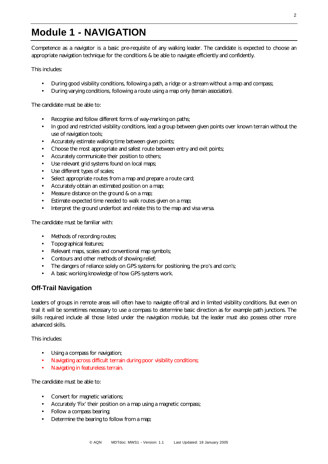### **Module 1 - NAVIGATION**

Competence as a navigator is a basic pre-requisite of any walking leader. The candidate is expected to choose an appropriate navigation technique for the conditions & be able to navigate efficiently and confidently.

This includes:

- During good visibility conditions, following a path, a ridge or a stream without a map and compass;
- During varying conditions, following a route using a map only (*terrain association).*

The candidate must be able to:

- Recognise and follow different forms of way-marking on paths;
- In good and restricted visibility conditions, lead a group between given points over known terrain without the use of navigation tools;
- Accurately estimate walking time between given points;
- Choose the most appropriate and safest route between entry and exit points;
- Accurately communicate their position to others;
- Use relevant grid systems found on local maps;
- Use different types of scales;
- Select appropriate routes from a map and prepare a route card;
- Accurately obtain an estimated position on a map;
- Measure distance on the ground & on a map;
- Estimate expected time needed to walk routes given on a map;
- Interpret the ground underfoot and relate this to the map and visa versa.

The candidate must be familiar with:

- Methods of recording routes;
- Topographical features;
- Relevant maps, scales and conventional map symbols;
- Contours and other methods of showing relief;
- The dangers of reliance solely on GPS systems for positioning, the pro's and con's;
- A basic working knowledge of how GPS systems work.

#### **Off-Trail Navigation**

Leaders of groups in remote areas will often have to navigate off-trail and in limited visibility conditions. But even on trail it will be sometimes necessary to use a compass to determine basic direction as for example path junctions. The skills required include all those listed under the navigation module, but the leader must also possess other more advanced skills.

This includes:

- Using a compass for navigation;
- Navigating across difficult terrain during poor visibility conditions;
- Navigating in featureless terrain.

The candidate must be able to:

- Convert for magnetic variations;
- Accurately 'Fix' their position on a map using a magnetic compass;
- Follow a compass bearing;
- Determine the bearing to follow from a map;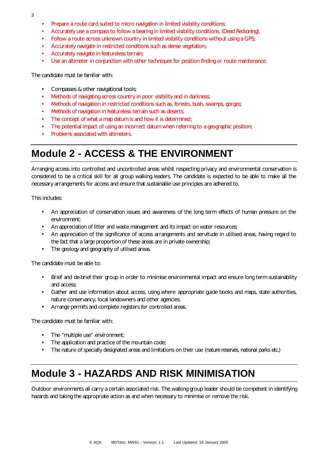- 3
- Prepare a route card suited to micro navigation in limited visibility conditions;
- Accurately use a compass to follow a bearing in limited visibility conditions. *(Dead Reckoning);*
- Follow a route across unknown country in limited visibility conditions without using a GPS;
- Accurately navigate in restricted conditions such as dense vegetation;
- Accurately navigate in featureless terrain;
- Use an altimeter in conjunction with other techniques for position finding or route maintenance.

The candidate must be familiar with:

- Compasses & other navigational tools;
- Methods of navigating across country in poor visibility and in darkness;
- Methods of navigation in restricted conditions such as, forests, bush, swamps, gorges;
- Methods of navigation in featureless terrain such as deserts;
- The concept of what a map datum is and how it is determined;
- The potential impact of using an incorrect datum when referring to a geographic position;
- Problems associated with altimeters.

### **Module 2 - ACCESS & THE ENVIRONMENT**

Arranging access into controlled and uncontrolled areas whilst respecting privacy and environmental conservation is considered to be a critical skill for all group walking leaders. The candidate is expected to be able to make all the necessary arrangements for access and ensure that sustainable use principles are adhered to.

This includes:

- An appreciation of conservation issues and awareness of the long term effects of human pressure on the environment;
- An appreciation of litter and waste management and its impact on water resources;
- An appreciation of the significance of access arrangements and servitude in utilised areas, having regard to the fact that a large proportion of these areas are in private ownership;
- The geology and geography of utilised areas.

The candidate must be able to:

- Brief and de-brief their group in order to minimise environmental impact and ensure long term sustainability and access;
- Gather and use information about access, using where appropriate guide books and maps, state authorities, nature conservancy, local landowners and other agencies;
- Arrange permits and complete registers for controlled areas.

The candidate must be familiar with:

- The "multiple use" environment;
- The application and practice of the mountain code;
- The nature of specially designated areas and limitations on their use *(nature reserves, national parks etc.)*

### **Module 3 - HAZARDS AND RISK MINIMISATION**

Outdoor environments all carry a certain associated risk. The walking group leader should be competent in identifying hazards and taking the appropriate action as and when necessary to minimise or remove the risk.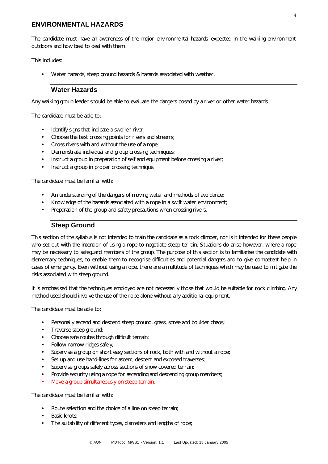#### **ENVIRONMENTAL HAZARDS**

The candidate must have an awareness of the major environmental hazards expected in the walking environment outdoors and how best to deal with them.

This includes:

• Water hazards, steep ground hazards & hazards associated with weather.

#### **Water Hazards**

Any walking group leader should be able to evaluate the dangers posed by a river or other water hazards

The candidate must be able to:

- Identify signs that indicate a swollen river;
- Choose the best crossing points for rivers and streams;
- Cross rivers with and without the use of a rope;
- Demonstrate individual and group crossing techniques;
- Instruct a group in preparation of self and equipment before crossing a river;
- Instruct a group in proper crossing technique.

The candidate must be familiar with:

- An understanding of the dangers of moving water and methods of avoidance;
- Knowledge of the hazards associated with a rope in a swift water environment;
- Preparation of the group and safety precautions when crossing rivers.

#### **Steep Ground**

This section of the syllabus is not intended to train the candidate as a rock climber, nor is it intended for these people who set out with the intention of using a rope to negotiate steep terrain. Situations do arise however, where a rope may be necessary to safeguard members of the group. The purpose of this section is to familiarise the candidate with elementary techniques, to enable them to recognise difficulties and potential dangers and to give competent help in cases of emergency. Even without using a rope, there are a multitude of techniques which may be used to mitigate the risks associated with steep ground.

It is emphasised that the techniques employed are not necessarily those that would be suitable for rock climbing. Any method used should involve the use of the rope alone without any additional equipment.

The candidate must be able to:

- Personally ascend and descend steep ground, grass, scree and boulder chaos;
- Traverse steep ground;
- Choose safe routes through difficult terrain;
- Follow narrow ridges safely;
- Supervise a group on short easy sections of rock, both with and without a rope;
- Set up and use hand-lines for ascent, descent and exposed traverses;
- Supervise groups safely across sections of snow covered terrain;
- Provide security using a rope for ascending and descending group members;
- Move a group simultaneously on steep terrain.

- Route selection and the choice of a line on steep terrain;
- Basic knots:
- The suitability of different types, diameters and lengths of rope;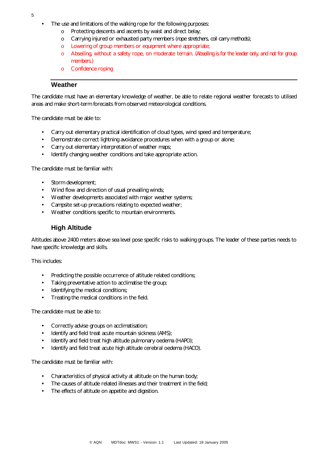- The use and limitations of the walking rope for the following purposes:
	- o Protecting descents and ascents by waist and direct belay;
	- o Carrying injured or exhausted party members *(rope stretchers, coil carry methods);*
	- o Lowering of group members or equipment where appropriate;
	- o Abseiling, without a safety rope, on moderate terrain. (*Abseiling is for the leader only, and not for group members.)*
	- o Confidence roping

#### **Weather**

The candidate must have an elementary knowledge of weather, be able to relate regional weather forecasts to utilised areas and make short-term forecasts from observed meteorological conditions.

The candidate must be able to:

- Carry out elementary practical identification of cloud types, wind speed and temperature;
- Demonstrate correct lightning avoidance procedures when with a group or alone;
- Carry out elementary interpretation of weather maps;
- Identify changing weather conditions and take appropriate action.

The candidate must be familiar with:

- Storm development:
- Wind flow and direction of usual prevailing winds;
- Weather developments associated with major weather systems;
- Campsite set-up precautions relating to expected weather;
- Weather conditions specific to mountain environments.

#### **High Altitude**

Altitudes above 2400 meters above sea level pose specific risks to walking groups. The leader of these parties needs to have specific knowledge and skills.

This includes:

- Predicting the possible occurrence of altitude related conditions;
- Taking preventative action to acclimatise the group;
- Identifying the medical conditions;
- Treating the medical conditions in the field.

The candidate must be able to:

- Correctly advise groups on acclimatisation;
- Identify and field treat acute mountain sickness *(AMS);*
- Identify and field treat high altitude pulmonary oedema *(HAPO);*
- Identify and field treat acute high altitude cerebral oedema *(HACO).*

- Characteristics of physical activity at altitude on the human body;
- The causes of altitude related illnesses and their treatment in the field;
- The effects of altitude on appetite and digestion.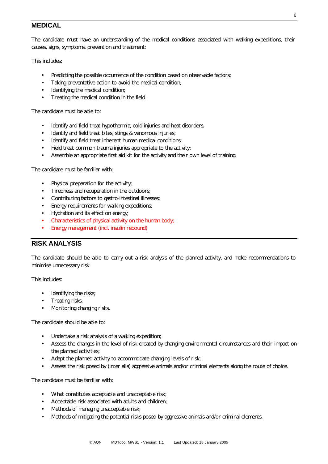#### **MEDICAL**

The candidate must have an understanding of the medical conditions associated with walking expeditions, their causes, signs, symptoms, prevention and treatment:

This includes:

- Predicting the possible occurrence of the condition based on observable factors;
- Taking preventative action to avoid the medical condition;
- Identifying the medical condition;
- Treating the medical condition in the field.

The candidate must be able to:

- Identify and field treat hypothermia, cold injuries and heat disorders;
- Identify and field treat bites, stings & venomous injuries;
- Identify and field treat inherent human medical conditions;
- Field treat common trauma injuries appropriate to the activity;
- Assemble an appropriate first aid kit for the activity and their own level of training.

The candidate must be familiar with:

- Physical preparation for the activity;
- Tiredness and recuperation in the outdoors;
- Contributing factors to gastro-intestinal illnesses;
- Energy requirements for walking expeditions;
- Hydration and its effect on energy;
- Characteristics of physical activity on the human body;
- Energy management (incl. insulin rebound)

#### **RISK ANALYSIS**

The candidate should be able to carry out a risk analysis of the planned activity, and make recommendations to minimise unnecessary risk.

This includes:

- Identifying the risks;
- Treating risks;
- Monitoring changing risks.

The candidate should be able to:

- Undertake a risk analysis of a walking expedition;
- Assess the changes in the level of risk created by changing environmental circumstances and their impact on the planned activities;
- Adapt the planned activity to accommodate changing levels of risk;
- Assess the risk posed by (inter alia) aggressive animals and/or criminal elements along the route of choice.

- What constitutes acceptable and unacceptable risk;
- Acceptable risk associated with adults and children;
- Methods of managing unacceptable risk;
- Methods of mitigating the potential risks posed by aggressive animals and/or criminal elements.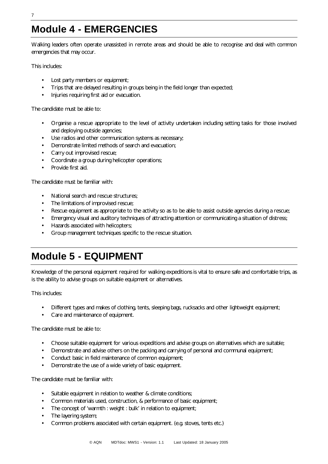## **Module 4 - EMERGENCIES**

Walking leaders often operate unassisted in remote areas and should be able to recognise and deal with common emergencies that may occur.

This includes:

- Lost party members or equipment;
- Trips that are delayed resulting in groups being in the field longer than expected;
- Injuries requiring first aid or evacuation.

The candidate must be able to:

- Organise a rescue appropriate to the level of activity undertaken including setting tasks for those involved and deploying outside agencies;
- Use radios and other communication systems as necessary;
- Demonstrate limited methods of search and evacuation;
- Carry out improvised rescue;
- Coordinate a group during helicopter operations;
- Provide first aid.

The candidate must be familiar with:

- National search and rescue structures;
- The limitations of improvised rescue;
- Rescue equipment as appropriate to the activity so as to be able to assist outside agencies during a rescue;
- Emergency visual and auditory techniques of attracting attention or communicating a situation of distress;
- Hazards associated with helicopters;
- Group management techniques specific to the rescue situation.

### **Module 5 - EQUIPMENT**

Knowledge of the personal equipment required for walking expeditions is vital to ensure safe and comfortable trips, as is the ability to advise groups on suitable equipment or alternatives.

This includes:

- Different types and makes of clothing, tents, sleeping bags, rucksacks and other lightweight equipment;
- Care and maintenance of equipment.

The candidate must be able to:

- Choose suitable equipment for various expeditions and advise groups on alternatives which are suitable;
- Demonstrate and advise others on the packing and carrying of personal and communal equipment;
- Conduct basic in field maintenance of common equipment;
- Demonstrate the use of a wide variety of basic equipment.

- Suitable equipment in relation to weather & climate conditions;
- Common materials used, construction, & performance of basic equipment;
- The concept of 'warmth : weight : bulk' in relation to equipment;
- The layering system;
- Common problems associated with certain equipment. (e.g. stoves, tents etc.)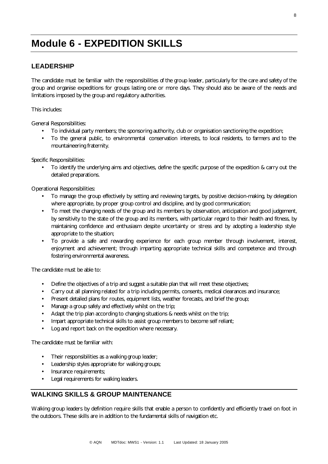### **Module 6 - EXPEDITION SKILLS**

#### **LEADERSHIP**

The candidate must be familiar with the responsibilities of the group leader, particularly for the care and safety of the group and organise expeditions for groups lasting one or more days. They should also be aware of the needs and limitations imposed by the group and regulatory authorities.

This includes:

General Responsibilities:

- To individual party members; the sponsoring authority, club or organisation sanctioning the expedition;
- To the general public, to environmental conservation interests, to local residents, to farmers and to the mountaineering fraternity.

Specific Responsibilities:

• To identify the underlying aims and objectives, define the specific purpose of the expedition & carry out the detailed preparations.

Operational Responsibilities:

- To manage the group effectively by setting and reviewing targets, by positive decision-making, by delegation where appropriate, by proper group control and discipline, and by good communication;
- To meet the changing needs of the group and its members by observation, anticipation and good judgement, by sensitivity to the state of the group and its members, with particular regard to their health and fitness, by maintaining confidence and enthusiasm despite uncertainty or stress and by adopting a leadership style appropriate to the situation;
- To provide a safe and rewarding experience for each group member through involvement, interest, enjoyment and achievement; through imparting appropriate technical skills and competence and through fostering environmental awareness.

The candidate must be able to:

- Define the objectives of a trip and suggest a suitable plan that will meet these objectives;
- Carry out all planning related for a trip including permits, consents, medical clearances and insurance;
- Present detailed plans for routes, equipment lists, weather forecasts, and brief the group;
- Manage a group safely and effectively whilst on the trip;
- Adapt the trip plan according to changing situations & needs whilst on the trip;
- Impart appropriate technical skills to assist group members to become self reliant;
- Log and report back on the expedition where necessary.

The candidate must be familiar with:

- Their responsibilities as a walking group leader;
- Leadership styles appropriate for walking groups;
- Insurance requirements;
- Legal requirements for walking leaders.

#### **WALKING SKILLS & GROUP MAINTENANCE**

Walking group leaders by definition require skills that enable a person to confidently and efficiently travel on foot in the outdoors. These skills are in addition to the fundamental skills of navigation etc.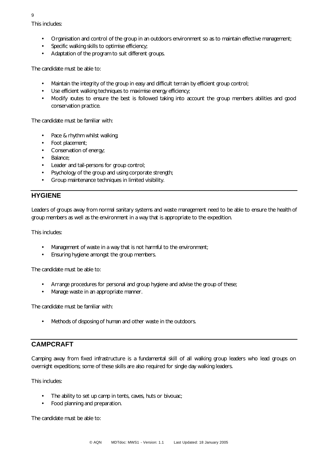This includes:

- Organisation and control of the group in an outdoors environment so as to maintain effective management;
- Specific walking skills to optimise efficiency;
- Adaptation of the program to suit different groups.

The candidate must be able to:

- Maintain the integrity of the group in easy and difficult terrain by efficient group control;
- Use efficient walking techniques to maximise energy efficiency;
- Modify routes to ensure the best is followed taking into account the group members abilities and good conservation practice.

The candidate must be familiar with:

- Pace & rhythm whilst walking;
- Foot placement;
- Conservation of energy;
- Balance;
- Leader and tail-persons for group control;
- Psychology of the group and using corporate strength;
- Group maintenance techniques in limited visibility.

#### **HYGIENE**

Leaders of groups away from normal sanitary systems and waste management need to be able to ensure the health of group members as well as the environment in a way that is appropriate to the expedition.

This includes:

- Management of waste in a way that is not harmful to the environment;
- Ensuring hygiene amongst the group members.

The candidate must be able to:

- Arrange procedures for personal and group hygiene and advise the group of these;
- Manage waste in an appropriate manner.

The candidate must be familiar with:

Methods of disposing of human and other waste in the outdoors.

#### **CAMPCRAFT**

Camping away from fixed infrastructure is a fundamental skill of all walking group leaders who lead groups on overnight expeditions; some of these skills are also required for single day walking leaders.

This includes:

- The ability to set up camp in tents, caves, huts or bivouac;
- Food planning and preparation.

The candidate must be able to: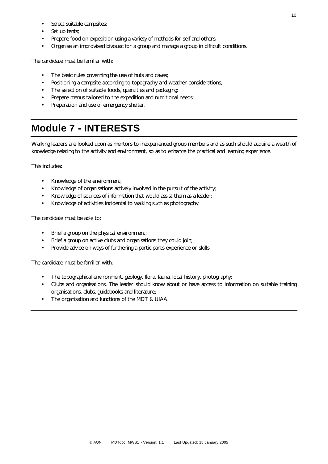- Select suitable campsites;
- Set up tents;
- Prepare food on expedition using a variety of methods for self and others;
- Organise an improvised bivouac for a group and manage a group in difficult conditions.

The candidate must be familiar with:

- The basic rules governing the use of huts and caves;
- Positioning a campsite according to topography and weather considerations;
- The selection of suitable foods, quantities and packaging;
- Prepare menus tailored to the expedition and nutritional needs;
- Preparation and use of emergency shelter.

### **Module 7 - INTERESTS**

Walking leaders are looked upon as mentors to inexperienced group members and as such should acquire a wealth of knowledge relating to the activity and environment, so as to enhance the practical and learning experience.

This includes:

- Knowledge of the environment;
- Knowledge of organisations actively involved in the pursuit of the activity;
- Knowledge of sources of information that would assist them as a leader;
- Knowledge of activities incidental to walking such as photography.

The candidate must be able to:

- Brief a group on the physical environment;
- Brief a group on active clubs and organisations they could join;
- Provide advice on ways of furthering a participants experience or skills.

- The topographical environment, geology, flora, fauna, local history, photography;
- Clubs and organisations. The leader should know about or have access to information on suitable training organisations, clubs, guidebooks and literature;
- The organisation and functions of the MDT & UIAA.